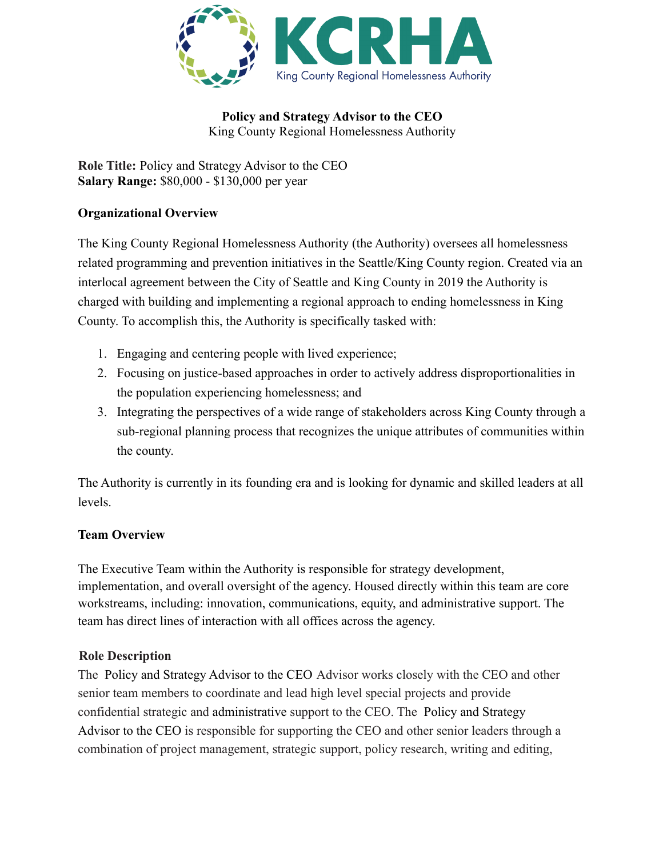

**Policy and Strategy Advisor to the CEO** King County Regional Homelessness Authority

**Role Title:** Policy and Strategy Advisor to the CEO **Salary Range:** \$80,000 - \$130,000 per year

## **Organizational Overview**

The King County Regional Homelessness Authority (the Authority) oversees all homelessness related programming and prevention initiatives in the Seattle/King County region. Created via an interlocal agreement between the City of Seattle and King County in 2019 the Authority is charged with building and implementing a regional approach to ending homelessness in King County. To accomplish this, the Authority is specifically tasked with:

- 1. Engaging and centering people with lived experience;
- 2. Focusing on justice-based approaches in order to actively address disproportionalities in the population experiencing homelessness; and
- 3. Integrating the perspectives of a wide range of stakeholders across King County through a sub-regional planning process that recognizes the unique attributes of communities within the county.

The Authority is currently in its founding era and is looking for dynamic and skilled leaders at all levels.

### **Team Overview**

The Executive Team within the Authority is responsible for strategy development, implementation, and overall oversight of the agency. Housed directly within this team are core workstreams, including: innovation, communications, equity, and administrative support. The team has direct lines of interaction with all offices across the agency.

### **Role Description**

The Policy and Strategy Advisor to the CEO Advisor works closely with the CEO and other senior team members to coordinate and lead high level special projects and provide confidential strategic and administrative support to the CEO. The Policy and Strategy Advisor to the CEO is responsible for supporting the CEO and other senior leaders through a combination of project management, strategic support, policy research, writing and editing,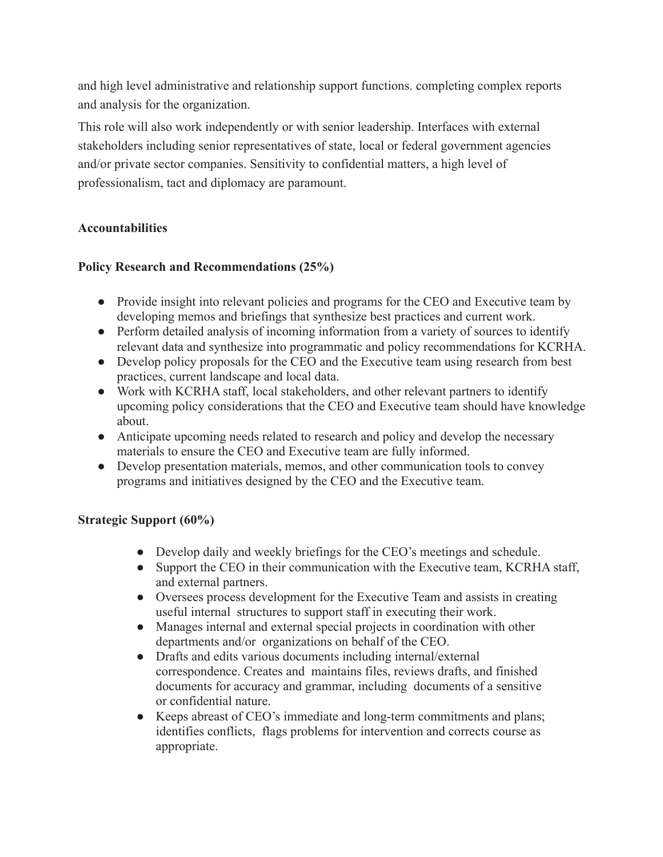and high level administrative and relationship support functions. completing complex reports and analysis for the organization.

This role will also work independently or with senior leadership. Interfaces with external stakeholders including senior representatives of state, local or federal government agencies and/or private sector companies. Sensitivity to confidential matters, a high level of professionalism, tact and diplomacy are paramount.

# **Accountabilities**

### **Policy Research and Recommendations (25%)**

- Provide insight into relevant policies and programs for the CEO and Executive team by developing memos and briefings that synthesize best practices and current work.
- Perform detailed analysis of incoming information from a variety of sources to identify relevant data and synthesize into programmatic and policy recommendations for KCRHA.
- Develop policy proposals for the CEO and the Executive team using research from best practices, current landscape and local data.
- Work with KCRHA staff, local stakeholders, and other relevant partners to identify upcoming policy considerations that the CEO and Executive team should have knowledge about.
- Anticipate upcoming needs related to research and policy and develop the necessary materials to ensure the CEO and Executive team are fully informed.
- Develop presentation materials, memos, and other communication tools to convey programs and initiatives designed by the CEO and the Executive team.

### **Strategic Support (60%)**

- Develop daily and weekly briefings for the CEO's meetings and schedule.
- Support the CEO in their communication with the Executive team, KCRHA staff, and external partners.
- Oversees process development for the Executive Team and assists in creating useful internal structures to support staff in executing their work.
- Manages internal and external special projects in coordination with other departments and/or organizations on behalf of the CEO.
- Drafts and edits various documents including internal/external correspondence. Creates and maintains files, reviews drafts, and finished documents for accuracy and grammar, including documents of a sensitive or confidential nature.
- Keeps abreast of CEO's immediate and long-term commitments and plans; identifies conflicts, flags problems for intervention and corrects course as appropriate.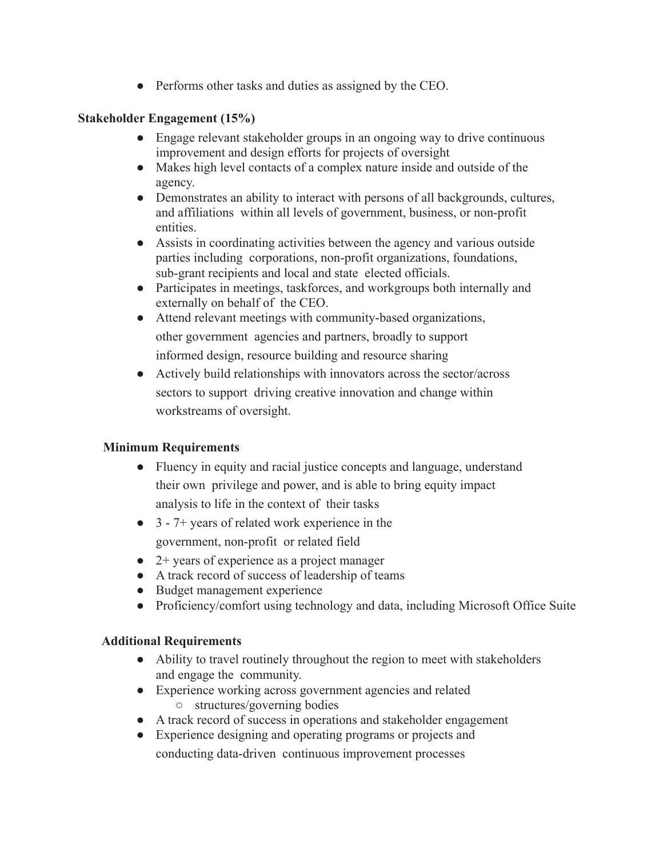• Performs other tasks and duties as assigned by the CEO.

### **Stakeholder Engagement (15%)**

- Engage relevant stakeholder groups in an ongoing way to drive continuous improvement and design efforts for projects of oversight
- Makes high level contacts of a complex nature inside and outside of the agency.
- Demonstrates an ability to interact with persons of all backgrounds, cultures, and affiliations within all levels of government, business, or non-profit entities.
- Assists in coordinating activities between the agency and various outside parties including corporations, non-profit organizations, foundations, sub-grant recipients and local and state elected officials.
- Participates in meetings, taskforces, and workgroups both internally and externally on behalf of the CEO.
- Attend relevant meetings with community-based organizations, other government agencies and partners, broadly to support informed design, resource building and resource sharing
- Actively build relationships with innovators across the sector/across sectors to support driving creative innovation and change within workstreams of oversight.

# **Minimum Requirements**

- Fluency in equity and racial justice concepts and language, understand their own privilege and power, and is able to bring equity impact analysis to life in the context of their tasks
- 3 7+ years of related work experience in the government, non-profit or related field
- 2+ years of experience as a project manager
- A track record of success of leadership of teams
- Budget management experience
- Proficiency/comfort using technology and data, including Microsoft Office Suite

# **Additional Requirements**

- Ability to travel routinely throughout the region to meet with stakeholders and engage the community.
- Experience working across government agencies and related
	- structures/governing bodies
- A track record of success in operations and stakeholder engagement
- Experience designing and operating programs or projects and conducting data-driven continuous improvement processes